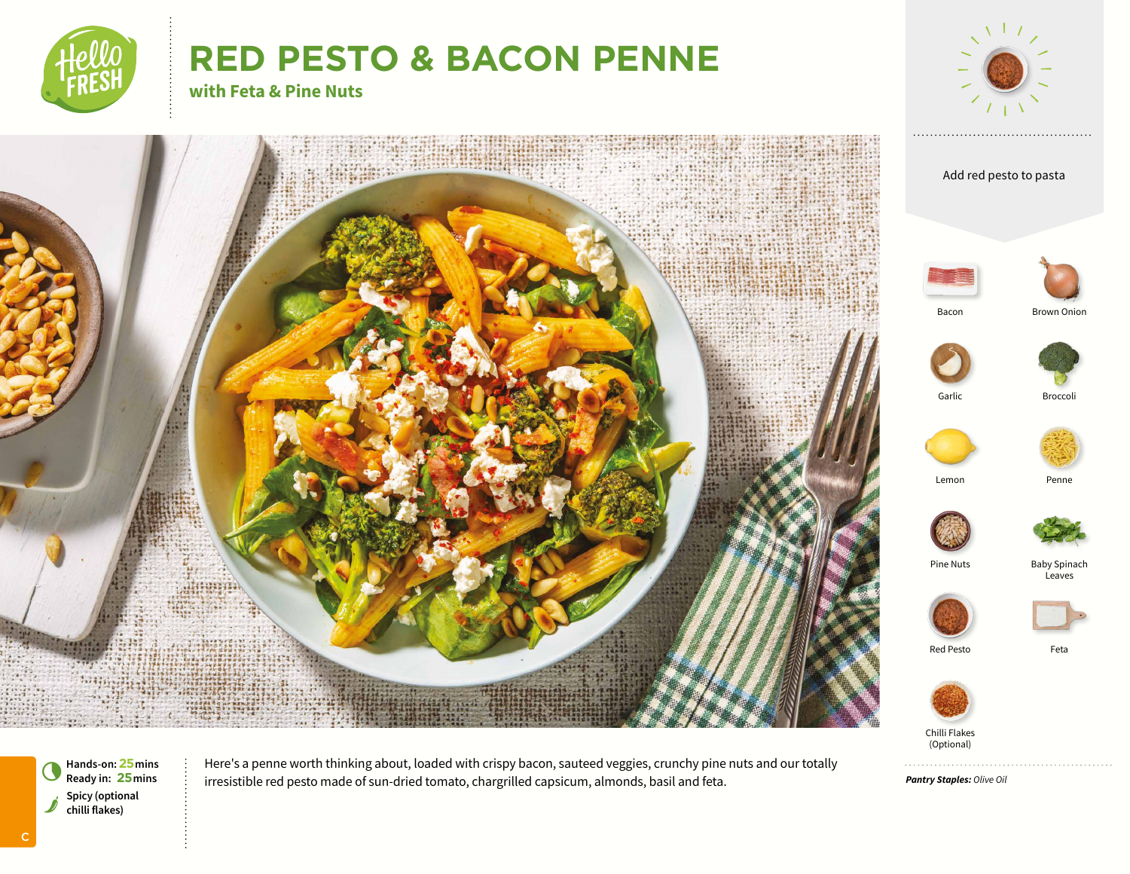

# **RED PESTO & BACON PENNE**



**with Feta & Pine Nuts**



**Hands-on: 25 mins**<br>**Ready in: 25 mins** Spicy (optional chilli flakes)

C

Here's a penne worth thinking about, loaded with crispy bacon, sauteed veggies, crunchy pine nuts and our totally irresistible red pesto made of sun-dried tomato, chargrilled capsicum, almonds, basil and feta.

*Pantry Staples: Olive Oil*

. . . . . . . . . . . . . .